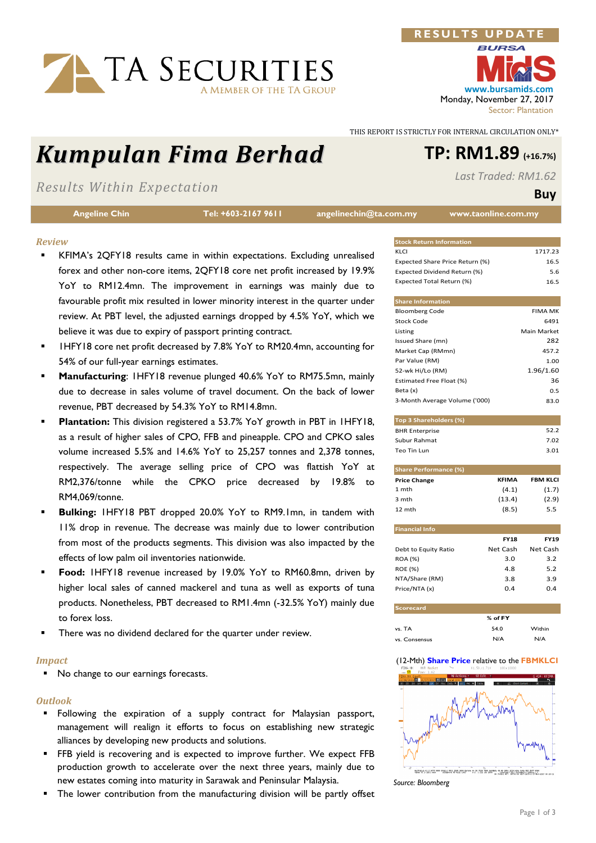# TA SECURITIES A MEMBER OF THE TA GROUP

# Kumpulan Fima Berhad TP: RM1.89 (+16.7%)

Results Within Expectation

Angeline Chin Tel: +603-2167 9611 angelinechin@ta.com.my www.taonline.com.my

# Review

- KFIMA's 2QFY18 results came in within expectations. Excluding unrealised forex and other non-core items, 2QFY18 core net profit increased by 19.9% YoY to RM12.4mn. The improvement in earnings was mainly due to favourable profit mix resulted in lower minority interest in the quarter under review. At PBT level, the adjusted earnings dropped by 4.5% YoY, which we believe it was due to expiry of passport printing contract.
- 1HFY18 core net profit decreased by 7.8% YoY to RM20.4mn, accounting for 54% of our full-year earnings estimates.
- Manufacturing: 1HFY18 revenue plunged 40.6% YoY to RM75.5mn, mainly due to decrease in sales volume of travel document. On the back of lower revenue, PBT decreased by 54.3% YoY to RM14.8mn.
- Plantation: This division registered a 53.7% YoY growth in PBT in 1HFY18, as a result of higher sales of CPO, FFB and pineapple. CPO and CPKO sales volume increased 5.5% and 14.6% YoY to 25,257 tonnes and 2,378 tonnes, respectively. The average selling price of CPO was flattish YoY at RM2,376/tonne while the CPKO price decreased by 19.8% to RM4,069/tonne.
- Bulking: 1HFY18 PBT dropped 20.0% YoY to RM9.1mn, in tandem with 11% drop in revenue. The decrease was mainly due to lower contribution from most of the products segments. This division was also impacted by the effects of low palm oil inventories nationwide.
- Food: 1HFY18 revenue increased by 19.0% YoY to RM60.8mn, driven by higher local sales of canned mackerel and tuna as well as exports of tuna products. Nonetheless, PBT decreased to RM1.4mn (-32.5% YoY) mainly due to forex loss.
- There was no dividend declared for the quarter under review.

#### Impact

No change to our earnings forecasts.

## **Outlook**

- **Following the expiration of a supply contract for Malaysian passport,** management will realign it efforts to focus on establishing new strategic alliances by developing new products and solutions.
- **FFB** yield is recovering and is expected to improve further. We expect FFB production growth to accelerate over the next three years, mainly due to new estates coming into maturity in Sarawak and Peninsular Malaysia.
- **The lower contribution from the manufacturing division will be partly offset**

www.bursamids.com Monday, November 27, 2017 Sector: Plantation

THIS REPORT IS STRICTLY FOR INTERNAL CIRCULATION ONLY\*

RESULTS UPDA

Last Traded: RM1.62

### Buy

| <b>Stock Return Information</b> |                |
|---------------------------------|----------------|
| KLCI                            | 1717.23        |
| Expected Share Price Return (%) | 16.5           |
| Expected Dividend Return (%)    | 5.6            |
| Expected Total Return (%)       | 16.5           |
|                                 |                |
| <b>Share Information</b>        |                |
| <b>Bloomberg Code</b>           | <b>FIMA MK</b> |
| Stock Code                      | 6491           |
| Listing                         | Main Market    |

| Listing                       | Main Market |
|-------------------------------|-------------|
| Issued Share (mn)             | 282         |
| Market Cap (RMmn)             | 457.2       |
| Par Value (RM)                | 1.00        |
| 52-wk Hi/Lo (RM)              | 1.96/1.60   |
| Estimated Free Float (%)      | 36          |
| Beta (x)                      | 0.5         |
| 3-Month Average Volume ('000) | 83.0        |

| Top 3 Shareholders (%) |      |
|------------------------|------|
| <b>BHR Enterprise</b>  | 52.2 |
| Subur Rahmat           | 7.02 |
| Teo Tin Lun            | 3.01 |

| <b>Share Performance (%)</b> |        |                 |  |  |  |  |
|------------------------------|--------|-----------------|--|--|--|--|
| <b>Price Change</b>          | KFIMA  | <b>FBM KLCI</b> |  |  |  |  |
| 1 mth                        | (4.1)  | (1.7)           |  |  |  |  |
| 3 mth                        | (13.4) | (2.9)           |  |  |  |  |
| 12 mth                       | (8.5)  | 5.5             |  |  |  |  |

| <b>Financial Info</b> |             |             |
|-----------------------|-------------|-------------|
|                       | <b>FY18</b> | <b>FY19</b> |
| Debt to Equity Ratio  | Net Cash    | Net Cash    |
| <b>ROA (%)</b>        | 3.0         | 3.2         |
| <b>ROE (%)</b>        | 4.8         | 5.2         |
| NTA/Share (RM)        | 3.8         | 3.9         |
| Price/NTA (x)         | 04          | 0.4         |
|                       |             |             |

| <b>Scorecard</b> |         |        |
|------------------|---------|--------|
|                  | % of FY |        |
| vs. TA           | 54.0    | Within |
| vs. Consensus    | N/A     | N/A    |

#### (12-Mth) Share Price relative to the FBMKLCI



Source: Bloomberg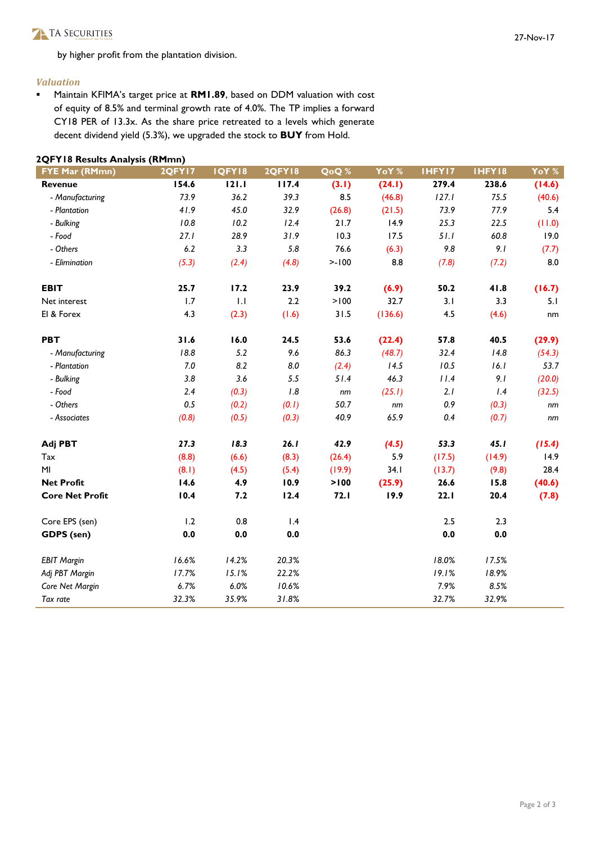by higher profit from the plantation division.

### Valuation

**Maintain KFIMA's target price at RM1.89, based on DDM valuation with cost** of equity of 8.5% and terminal growth rate of 4.0%. The TP implies a forward CY18 PER of 13.3x. As the share price retreated to a levels which generate decent dividend yield (5.3%), we upgraded the stock to BUY from Hold.

| <b>FYE Mar (RMmn)</b>  | 2QFY17  | <b>IQFYI8</b> | <b>2QFY18</b> | QoQ%   | YoY %   | IHFY17  | IHFY18  | YoY %  |
|------------------------|---------|---------------|---------------|--------|---------|---------|---------|--------|
| <b>Revenue</b>         | 154.6   | 121.1         | 117.4         | (3.1)  | (24.1)  | 279.4   | 238.6   | (14.6) |
| - Manufacturing        | 73.9    | 36.2          | 39.3          | 8.5    | (46.8)  | 127.1   | 75.5    | (40.6) |
| - Plantation           | 41.9    | 45.0          | 32.9          | (26.8) | (21.5)  | 73.9    | 77.9    | 5.4    |
| - Bulking              | 10.8    | 10.2          | 12.4          | 21.7   | 14.9    | 25.3    | 22.5    | (11.0) |
| - Food                 | 27.1    | 28.9          | 31.9          | 10.3   | 17.5    | 51.1    | 60.8    | 19.0   |
| - Others               | 6.2     | 3.3           | 5.8           | 76.6   | (6.3)   | $9.8\,$ | 9.1     | (7.7)  |
| - Elimination          | (5.3)   | (2.4)         | (4.8)         | >100   | 8.8     | (7.8)   | (7.2)   | 8.0    |
| <b>EBIT</b>            | 25.7    | 17.2          | 23.9          | 39.2   | (6.9)   | 50.2    | 41.8    | (16.7) |
| Net interest           | 1.7     | 1.1           | 2.2           | > 100  | 32.7    | 3.1     | 3.3     | 5.1    |
| El & Forex             | 4.3     | (2.3)         | (1.6)         | 31.5   | (136.6) | 4.5     | (4.6)   | nm     |
| <b>PBT</b>             | 31.6    | 16.0          | 24.5          | 53.6   | (22.4)  | 57.8    | 40.5    | (29.9) |
| - Manufacturing        | 18.8    | 5.2           | 9.6           | 86.3   | (48.7)  | 32.4    | 14.8    | (54.3) |
| - Plantation           | 7.0     | 8.2           | 8.0           | (2.4)  | 14.5    | 10.5    | 16.1    | 53.7   |
| - Bulking              | 3.8     | 3.6           | 5.5           | 51.4   | 46.3    | 11.4    | 9.1     | (20.0) |
| - Food                 | 2.4     | (0.3)         | 1.8           | nm     | (25.1)  | 2.1     | 1.4     | (32.5) |
| - Others               | 0.5     | (0.2)         | (0.1)         | 50.7   | nm      | 0.9     | (0.3)   | nm     |
| - Associates           | (0.8)   | (0.5)         | (0.3)         | 40.9   | 65.9    | 0.4     | (0.7)   | nm     |
| Adj PBT                | 27.3    | 18.3          | 26.1          | 42.9   | (4.5)   | 53.3    | 45.1    | (15.4) |
| Tax                    | (8.8)   | (6.6)         | (8.3)         | (26.4) | 5.9     | (17.5)  | (14.9)  | 14.9   |
| M <sub>l</sub>         | (8.1)   | (4.5)         | (5.4)         | (19.9) | 34.1    | (13.7)  | (9.8)   | 28.4   |
| <b>Net Profit</b>      | 14.6    | 4.9           | 10.9          | > 100  | (25.9)  | 26.6    | 15.8    | (40.6) |
| <b>Core Net Profit</b> | 10.4    | 7.2           | 12.4          | 72.1   | 19.9    | 22.1    | 20.4    | (7.8)  |
| Core EPS (sen)         | 1.2     | 0.8           | 1.4           |        |         | 2.5     | 2.3     |        |
| GDPS (sen)             | $0.0\,$ | 0.0           | 0.0           |        |         | 0.0     | $0.0\,$ |        |
| <b>EBIT Margin</b>     | 16.6%   | 14.2%         | 20.3%         |        |         | 18.0%   | 17.5%   |        |
| Adj PBT Margin         | 17.7%   | 15.1%         | 22.2%         |        |         | 19.1%   | 18.9%   |        |
| Core Net Margin        | 6.7%    | 6.0%          | 10.6%         |        |         | 7.9%    | 8.5%    |        |
| Tax rate               | 32.3%   | 35.9%         | 31.8%         |        |         | 32.7%   | 32.9%   |        |

#### 2QFY18 Results Analysis (RMmn)